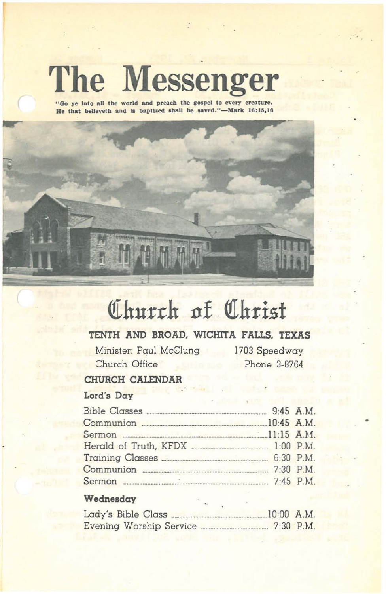# **The Messenger**

**"Go ye Into all the world and preach the &,olpel to every creature.** He that believeth and is baptized shall be saved."-Mark  $16:15,16$ 



# **(llhu:rr;h ttl. QIhrisf**

# **TENTH AND BROAD. WICHITA FAUS. TEXAS**

Minister: Paul McClung Church Office

1703 Speedway Phone 3-8764

# **CHURCH CALENDAR**

## Lord's **Day**

| Communion 20145 A.M.                               |  |
|----------------------------------------------------|--|
|                                                    |  |
| Herald of Truth, KFDX [1:00 P.M.]                  |  |
| Training Classes <b>Exercise Classes</b> 6:30 P.M. |  |
|                                                    |  |
|                                                    |  |

### **Wednesday**

| Lady's Bible Class. |                         | 10:00 A.M. |             |
|---------------------|-------------------------|------------|-------------|
|                     | Evening Worship Service |            | $7:30$ P.M. |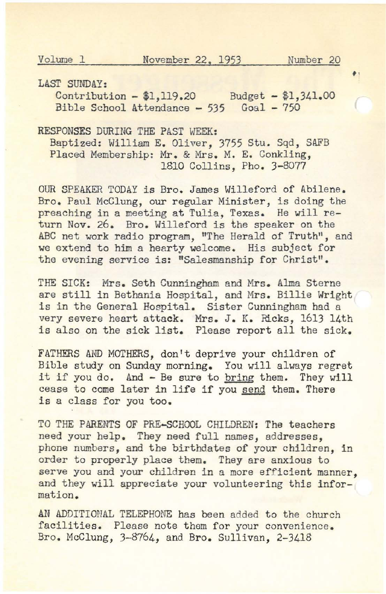"

LAST SUNDAY:

Contribution - \$1,119.20 Budget - \$1,341.00 Bible School Attendance - 535 Goal - 750

RESPONSES DURING THE PAST WEEK:

Baptized: William E, Oliver, 3755 Stu. Sqd, SAFB Placed Membership: Mr. & Mrs. M. E. Conkling, 1810 Collins, Pho. 3-8077

OUR SPEAKER TODAY is Bro. James Willeford of Abilene. Bro. Paul McClung, our regular Minister, is doing the preaching in a meeting at Tulia, Texas. He will return Nov. 26. Bro. Willeford is the speaker on the ABC net work radio program, "The Herald of Truth", and we extend to him a hearty welcome. His subject for the evening service is: "Salesmanship for Christ".

THE SICK: Mrs. Seth Cunningham and Mrs. Alma Sterne are still in Bethania Hospital, and Mrs. Billie Wright is in the General Hospital. Sister Cunningham had a very severe heart attack. Mrs. J. K. Ricks, 1613 14th is also on the sick list. Please report all the sick.

FATHERS AND MOTHERS, don't deprive your children of Bible study on Sunday morning. You will always regret it if you do. And - Be sure to bring them. They will cease to come later in life if you send them. There is a class for you too.

TO THE PARENTS OF PRE-SCHOOL CHILDREN: The teachers need your help. They need full names, addresses, phone numbers, and the birthdates of your children, in order to properly place them. They are anxious to serve you and your children in a more efficient manner. and they will appreciate your volunteering this infor**mation.**

AN ADDITIONAL TELEPHONE has been added to the church facilities. Please note them for your convenience. Bro. McClung, 3-8764, and Bro. Sullivan, 2-3418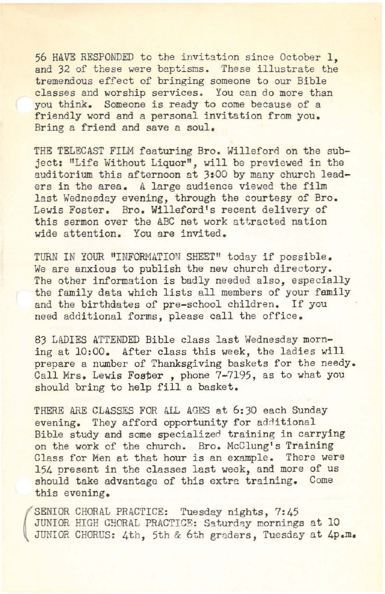56 HAVE RESPONDED to the invitation since October 1, and 32 of these were baptisms. These illustrate the tremendous effect of bringing someone to our Bible classes and worship services. You can do more than you think. Someone is ready to come because of a friendly word and a personal invitation from you. Bring a friend and save a soul.

THE TELECAST FILM featuring Bro. Willeford on the subject: "Life Without Liquor", will be previewed in the auditorium this afternoon at 3:00 by many church leaders in the area. A large audience viewed the film last Wednesday evening, through the courtesy of Bro. Lewis Foster. Bro. Willeford's recent delivery of this sermon over the ABC net work attracted nation wide attention. You are invited.

TURN IN YOUR "INFORMATION SHEET" today if possible. We are anxious to publish the new church directory. The other information is badly needed also, especially the family data which lists all members of your family and the birthdates of pre-school children. If you need additional forms, please call the office.

83 LADIES ATTENDED Bible class last Wednesday morning at 10:00. After class this week, the ladies will prepare a number of Thanksgiving baskets for the needy. Call Mrs. Lewis Foster, phone 7-7195, as to what you should bring to help fill <sup>a</sup> basket.

THERE ARE CLASSES FOR ALL AGES at 6: 30 each Sunday evening. They afford opportunity for additional Bible study and some specialized training in carrying on the work of the church. Bro. McClung's Training Class for Men at that hour is an example. There were 154 present in the classes last week, and more of us should take advantage of this extra training. Come this evening.

SENIOR CHORAL PRACTICE: Tuesday nights, 7: 45 JUNIOR HIGH CHORAL PRACTICE: Saturday mornings at 10 JUNIOR CHORUS: 4th, 5th & 6th graders, Tuesday at 4p.m.

(